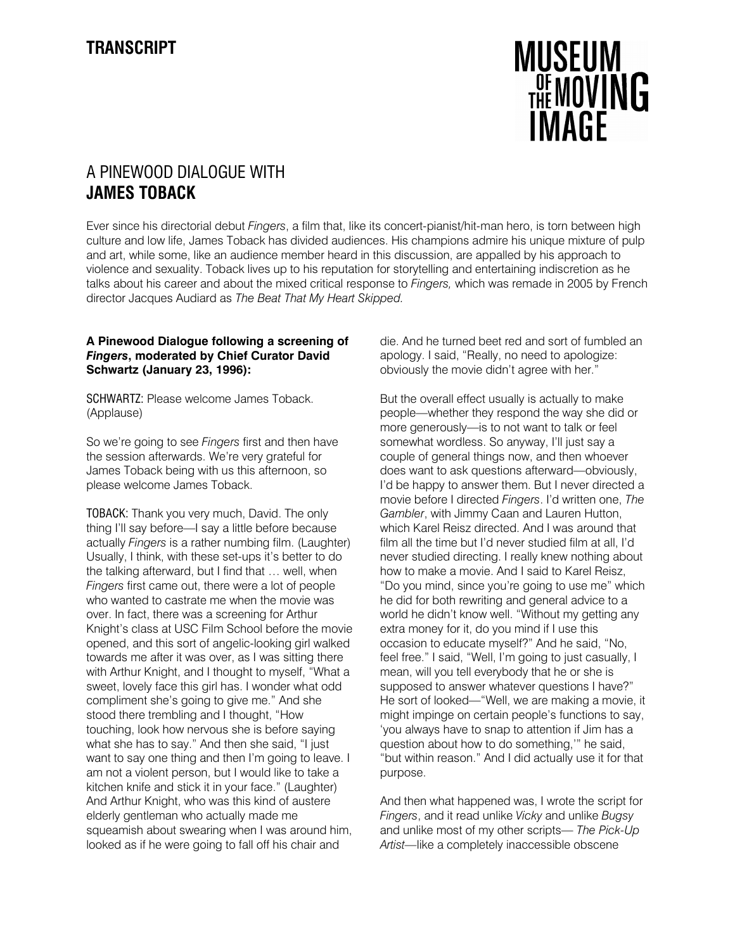

## A PINEWOOD DIALOGUE WITH JAMES TOBACK

Ever since his directorial debut Fingers, a film that, like its concert-pianist/hit-man hero, is torn between high culture and low life, James Toback has divided audiences. His champions admire his unique mixture of pulp and art, while some, like an audience member heard in this discussion, are appalled by his approach to violence and sexuality. Toback lives up to his reputation for storytelling and entertaining indiscretion as he talks about his career and about the mixed critical response to Fingers, which was remade in 2005 by French director Jacques Audiard as The Beat That My Heart Skipped.

## A Pinewood Dialogue following a screening of Fingers, moderated by Chief Curator David Schwartz (January 23, 1996):

SCHWARTZ: Please welcome James Toback. (Applause)

So we're going to see Fingers first and then have the session afterwards. We're very grateful for James Toback being with us this afternoon, so please welcome James Toback.

TOBACK: Thank you very much, David. The only thing I'll say before—I say a little before because actually Fingers is a rather numbing film. (Laughter) Usually, I think, with these set-ups it's better to do the talking afterward, but I find that … well, when Fingers first came out, there were a lot of people who wanted to castrate me when the movie was over. In fact, there was a screening for Arthur Knight's class at USC Film School before the movie opened, and this sort of angelic-looking girl walked towards me after it was over, as I was sitting there with Arthur Knight, and I thought to myself, "What a sweet, lovely face this girl has. I wonder what odd compliment she's going to give me." And she stood there trembling and I thought, "How touching, look how nervous she is before saying what she has to say." And then she said, "I just want to say one thing and then I'm going to leave. I am not a violent person, but I would like to take a kitchen knife and stick it in your face." (Laughter) And Arthur Knight, who was this kind of austere elderly gentleman who actually made me squeamish about swearing when I was around him, looked as if he were going to fall off his chair and

die. And he turned beet red and sort of fumbled an apology. I said, "Really, no need to apologize: obviously the movie didn't agree with her."

But the overall effect usually is actually to make people—whether they respond the way she did or more generously—is to not want to talk or feel somewhat wordless. So anyway, I'll just say a couple of general things now, and then whoever does want to ask questions afterward—obviously, I'd be happy to answer them. But I never directed a movie before I directed Fingers. I'd written one, The Gambler, with Jimmy Caan and Lauren Hutton, which Karel Reisz directed. And I was around that film all the time but I'd never studied film at all, I'd never studied directing. I really knew nothing about how to make a movie. And I said to Karel Reisz, "Do you mind, since you're going to use me" which he did for both rewriting and general advice to a world he didn't know well. "Without my getting any extra money for it, do you mind if I use this occasion to educate myself?" And he said, "No, feel free." I said, "Well, I'm going to just casually, I mean, will you tell everybody that he or she is supposed to answer whatever questions I have?" He sort of looked—"Well, we are making a movie, it might impinge on certain people's functions to say, 'you always have to snap to attention if Jim has a question about how to do something,'" he said, "but within reason." And I did actually use it for that purpose.

And then what happened was, I wrote the script for Fingers, and it read unlike Vicky and unlike Bugsy and unlike most of my other scripts— The Pick-Up Artist—like a completely inaccessible obscene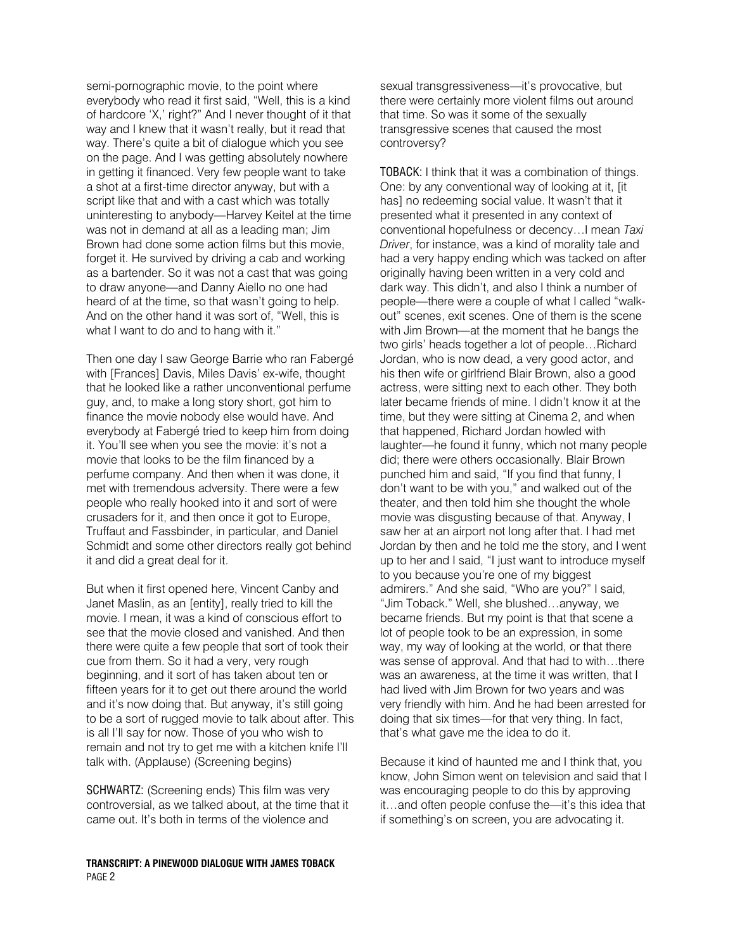semi-pornographic movie, to the point where everybody who read it first said, "Well, this is a kind of hardcore 'X,' right?" And I never thought of it that way and I knew that it wasn't really, but it read that way. There's quite a bit of dialogue which you see on the page. And I was getting absolutely nowhere in getting it financed. Very few people want to take a shot at a first-time director anyway, but with a script like that and with a cast which was totally uninteresting to anybody—Harvey Keitel at the time was not in demand at all as a leading man; Jim Brown had done some action films but this movie, forget it. He survived by driving a cab and working as a bartender. So it was not a cast that was going to draw anyone—and Danny Aiello no one had heard of at the time, so that wasn't going to help. And on the other hand it was sort of, "Well, this is what I want to do and to hang with it."

Then one day I saw George Barrie who ran Fabergé with [Frances] Davis, Miles Davis' ex-wife, thought that he looked like a rather unconventional perfume guy, and, to make a long story short, got him to finance the movie nobody else would have. And everybody at Fabergé tried to keep him from doing it. You'll see when you see the movie: it's not a movie that looks to be the film financed by a perfume company. And then when it was done, it met with tremendous adversity. There were a few people who really hooked into it and sort of were crusaders for it, and then once it got to Europe, Truffaut and Fassbinder, in particular, and Daniel Schmidt and some other directors really got behind it and did a great deal for it.

But when it first opened here, Vincent Canby and Janet Maslin, as an [entity], really tried to kill the movie. I mean, it was a kind of conscious effort to see that the movie closed and vanished. And then there were quite a few people that sort of took their cue from them. So it had a very, very rough beginning, and it sort of has taken about ten or fifteen years for it to get out there around the world and it's now doing that. But anyway, it's still going to be a sort of rugged movie to talk about after. This is all I'll say for now. Those of you who wish to remain and not try to get me with a kitchen knife I'll talk with. (Applause) (Screening begins)

SCHWARTZ: (Screening ends) This film was very controversial, as we talked about, at the time that it came out. It's both in terms of the violence and

TRANSCRIPT: A PINEWOOD DIALOGUE WITH JAMES TOBACK PAGE 2

sexual transgressiveness—it's provocative, but there were certainly more violent films out around that time. So was it some of the sexually transgressive scenes that caused the most controversy?

TOBACK: I think that it was a combination of things. One: by any conventional way of looking at it, [it has] no redeeming social value. It wasn't that it presented what it presented in any context of conventional hopefulness or decency…I mean Taxi Driver, for instance, was a kind of morality tale and had a very happy ending which was tacked on after originally having been written in a very cold and dark way. This didn't, and also I think a number of people—there were a couple of what I called "walkout" scenes, exit scenes. One of them is the scene with Jim Brown—at the moment that he bangs the two girls' heads together a lot of people…Richard Jordan, who is now dead, a very good actor, and his then wife or girlfriend Blair Brown, also a good actress, were sitting next to each other. They both later became friends of mine. I didn't know it at the time, but they were sitting at Cinema 2, and when that happened, Richard Jordan howled with laughter—he found it funny, which not many people did; there were others occasionally. Blair Brown punched him and said, "If you find that funny, I don't want to be with you," and walked out of the theater, and then told him she thought the whole movie was disgusting because of that. Anyway, I saw her at an airport not long after that. I had met Jordan by then and he told me the story, and I went up to her and I said, "I just want to introduce myself to you because you're one of my biggest admirers." And she said, "Who are you?" I said, "Jim Toback." Well, she blushed…anyway, we became friends. But my point is that that scene a lot of people took to be an expression, in some way, my way of looking at the world, or that there was sense of approval. And that had to with...there was an awareness, at the time it was written, that I had lived with Jim Brown for two years and was very friendly with him. And he had been arrested for doing that six times—for that very thing. In fact, that's what gave me the idea to do it.

Because it kind of haunted me and I think that, you know, John Simon went on television and said that I was encouraging people to do this by approving it…and often people confuse the—it's this idea that if something's on screen, you are advocating it.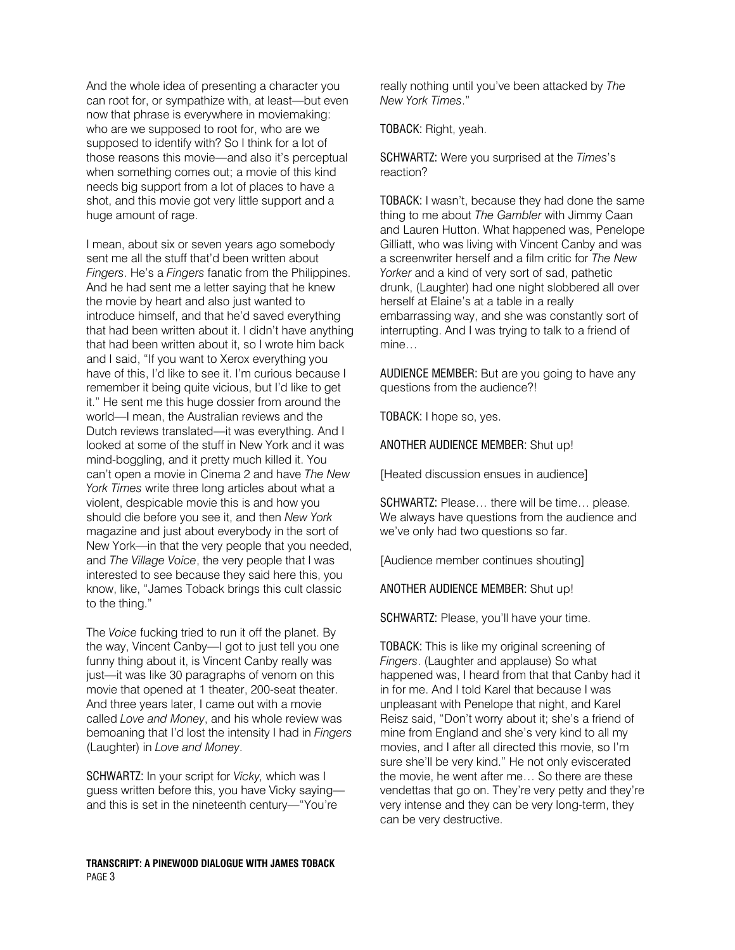And the whole idea of presenting a character you can root for, or sympathize with, at least—but even now that phrase is everywhere in moviemaking: who are we supposed to root for, who are we supposed to identify with? So I think for a lot of those reasons this movie—and also it's perceptual when something comes out; a movie of this kind needs big support from a lot of places to have a shot, and this movie got very little support and a huge amount of rage.

I mean, about six or seven years ago somebody sent me all the stuff that'd been written about Fingers. He's a Fingers fanatic from the Philippines. And he had sent me a letter saying that he knew the movie by heart and also just wanted to introduce himself, and that he'd saved everything that had been written about it. I didn't have anything that had been written about it, so I wrote him back and I said, "If you want to Xerox everything you have of this, I'd like to see it. I'm curious because I remember it being quite vicious, but I'd like to get it." He sent me this huge dossier from around the world—I mean, the Australian reviews and the Dutch reviews translated—it was everything. And I looked at some of the stuff in New York and it was mind-boggling, and it pretty much killed it. You can't open a movie in Cinema 2 and have The New York Times write three long articles about what a violent, despicable movie this is and how you should die before you see it, and then New York magazine and just about everybody in the sort of New York—in that the very people that you needed, and The Village Voice, the very people that I was interested to see because they said here this, you know, like, "James Toback brings this cult classic to the thing."

The Voice fucking tried to run it off the planet. By the way, Vincent Canby—I got to just tell you one funny thing about it, is Vincent Canby really was just—it was like 30 paragraphs of venom on this movie that opened at 1 theater, 200-seat theater. And three years later, I came out with a movie called Love and Money, and his whole review was bemoaning that I'd lost the intensity I had in Fingers (Laughter) in Love and Money.

SCHWARTZ: In your script for Vicky, which was I guess written before this, you have Vicky saying and this is set in the nineteenth century—"You're

TRANSCRIPT: A PINEWOOD DIALOGUE WITH JAMES TOBACK PAGE 3

really nothing until you've been attacked by The New York Times."

TOBACK: Right, yeah.

SCHWARTZ: Were you surprised at the Times's reaction?

TOBACK: I wasn't, because they had done the same thing to me about The Gambler with Jimmy Caan and Lauren Hutton. What happened was, Penelope Gilliatt, who was living with Vincent Canby and was a screenwriter herself and a film critic for The New Yorker and a kind of very sort of sad, pathetic drunk, (Laughter) had one night slobbered all over herself at Elaine's at a table in a really embarrassing way, and she was constantly sort of interrupting. And I was trying to talk to a friend of mine…

AUDIENCE MEMBER: But are you going to have any questions from the audience?!

TOBACK: I hope so, yes.

ANOTHER AUDIENCE MEMBER: Shut up!

[Heated discussion ensues in audience]

SCHWARTZ: Please… there will be time… please. We always have questions from the audience and we've only had two questions so far.

[Audience member continues shouting]

ANOTHER AUDIENCE MEMBER: Shut up!

SCHWARTZ: Please, you'll have your time.

TOBACK: This is like my original screening of Fingers. (Laughter and applause) So what happened was, I heard from that that Canby had it in for me. And I told Karel that because I was unpleasant with Penelope that night, and Karel Reisz said, "Don't worry about it; she's a friend of mine from England and she's very kind to all my movies, and I after all directed this movie, so I'm sure she'll be very kind." He not only eviscerated the movie, he went after me… So there are these vendettas that go on. They're very petty and they're very intense and they can be very long-term, they can be very destructive.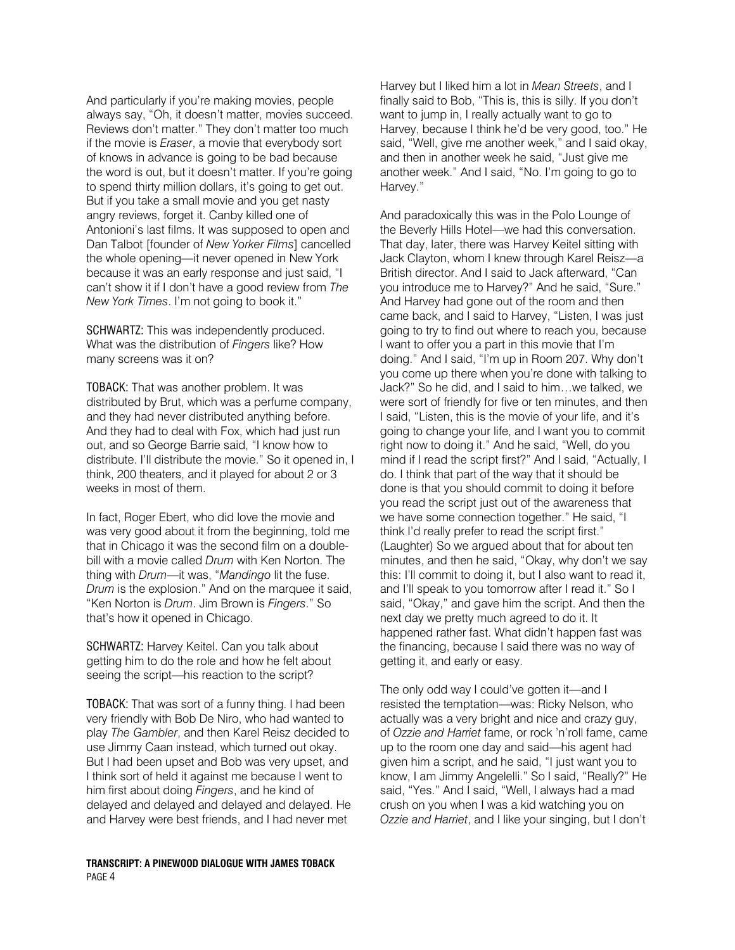And particularly if you're making movies, people always say, "Oh, it doesn't matter, movies succeed. Reviews don't matter." They don't matter too much if the movie is Eraser, a movie that everybody sort of knows in advance is going to be bad because the word is out, but it doesn't matter. If you're going to spend thirty million dollars, it's going to get out. But if you take a small movie and you get nasty angry reviews, forget it. Canby killed one of Antonioni's last films. It was supposed to open and Dan Talbot [founder of New Yorker Films] cancelled the whole opening—it never opened in New York because it was an early response and just said, "I can't show it if I don't have a good review from The New York Times. I'm not going to book it."

SCHWARTZ: This was independently produced. What was the distribution of Fingers like? How many screens was it on?

TOBACK: That was another problem. It was distributed by Brut, which was a perfume company, and they had never distributed anything before. And they had to deal with Fox, which had just run out, and so George Barrie said, "I know how to distribute. I'll distribute the movie." So it opened in, I think, 200 theaters, and it played for about 2 or 3 weeks in most of them.

In fact, Roger Ebert, who did love the movie and was very good about it from the beginning, told me that in Chicago it was the second film on a doublebill with a movie called Drum with Ken Norton. The thing with Drum—it was, "Mandingo lit the fuse. Drum is the explosion." And on the marquee it said, "Ken Norton is Drum. Jim Brown is Fingers." So that's how it opened in Chicago.

SCHWARTZ: Harvey Keitel. Can you talk about getting him to do the role and how he felt about seeing the script—his reaction to the script?

TOBACK: That was sort of a funny thing. I had been very friendly with Bob De Niro, who had wanted to play The Gambler, and then Karel Reisz decided to use Jimmy Caan instead, which turned out okay. But I had been upset and Bob was very upset, and I think sort of held it against me because I went to him first about doing Fingers, and he kind of delayed and delayed and delayed and delayed. He and Harvey were best friends, and I had never met

TRANSCRIPT: A PINEWOOD DIALOGUE WITH JAMES TOBACK PAGE 4

Harvey but I liked him a lot in Mean Streets, and I finally said to Bob, "This is, this is silly. If you don't want to jump in, I really actually want to go to Harvey, because I think he'd be very good, too." He said, "Well, give me another week," and I said okay, and then in another week he said, "Just give me another week." And I said, "No. I'm going to go to Harvey."

And paradoxically this was in the Polo Lounge of the Beverly Hills Hotel—we had this conversation. That day, later, there was Harvey Keitel sitting with Jack Clayton, whom I knew through Karel Reisz—a British director. And I said to Jack afterward, "Can you introduce me to Harvey?" And he said, "Sure." And Harvey had gone out of the room and then came back, and I said to Harvey, "Listen, I was just going to try to find out where to reach you, because I want to offer you a part in this movie that I'm doing." And I said, "I'm up in Room 207. Why don't you come up there when you're done with talking to Jack?" So he did, and I said to him…we talked, we were sort of friendly for five or ten minutes, and then I said, "Listen, this is the movie of your life, and it's going to change your life, and I want you to commit right now to doing it." And he said, "Well, do you mind if I read the script first?" And I said, "Actually, I do. I think that part of the way that it should be done is that you should commit to doing it before you read the script just out of the awareness that we have some connection together." He said, "I think I'd really prefer to read the script first." (Laughter) So we argued about that for about ten minutes, and then he said, "Okay, why don't we say this: I'll commit to doing it, but I also want to read it, and I'll speak to you tomorrow after I read it." So I said, "Okay," and gave him the script. And then the next day we pretty much agreed to do it. It happened rather fast. What didn't happen fast was the financing, because I said there was no way of getting it, and early or easy.

The only odd way I could've gotten it—and I resisted the temptation—was: Ricky Nelson, who actually was a very bright and nice and crazy guy, of Ozzie and Harriet fame, or rock 'n'roll fame, came up to the room one day and said—his agent had given him a script, and he said, "I just want you to know, I am Jimmy Angelelli." So I said, "Really?" He said, "Yes." And I said, "Well, I always had a mad crush on you when I was a kid watching you on Ozzie and Harriet, and I like your singing, but I don't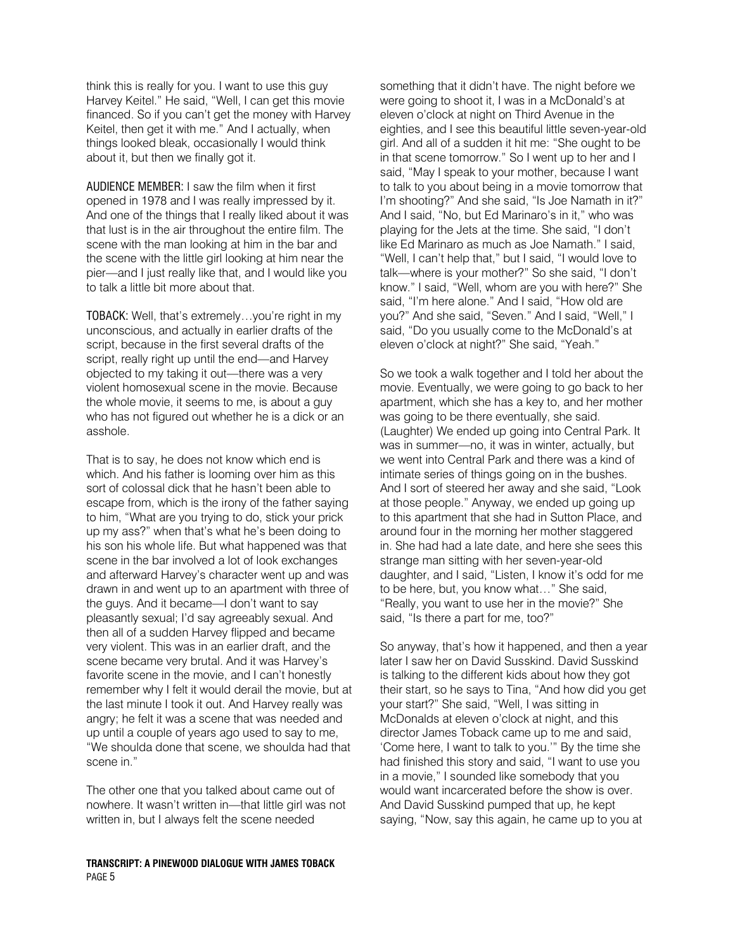think this is really for you. I want to use this guy Harvey Keitel." He said, "Well, I can get this movie financed. So if you can't get the money with Harvey Keitel, then get it with me." And I actually, when things looked bleak, occasionally I would think about it, but then we finally got it.

AUDIENCE MEMBER: I saw the film when it first opened in 1978 and I was really impressed by it. And one of the things that I really liked about it was that lust is in the air throughout the entire film. The scene with the man looking at him in the bar and the scene with the little girl looking at him near the pier—and I just really like that, and I would like you to talk a little bit more about that.

TOBACK: Well, that's extremely…you're right in my unconscious, and actually in earlier drafts of the script, because in the first several drafts of the script, really right up until the end—and Harvey objected to my taking it out—there was a very violent homosexual scene in the movie. Because the whole movie, it seems to me, is about a guy who has not figured out whether he is a dick or an asshole.

That is to say, he does not know which end is which. And his father is looming over him as this sort of colossal dick that he hasn't been able to escape from, which is the irony of the father saying to him, "What are you trying to do, stick your prick up my ass?" when that's what he's been doing to his son his whole life. But what happened was that scene in the bar involved a lot of look exchanges and afterward Harvey's character went up and was drawn in and went up to an apartment with three of the guys. And it became—I don't want to say pleasantly sexual; I'd say agreeably sexual. And then all of a sudden Harvey flipped and became very violent. This was in an earlier draft, and the scene became very brutal. And it was Harvey's favorite scene in the movie, and I can't honestly remember why I felt it would derail the movie, but at the last minute I took it out. And Harvey really was angry; he felt it was a scene that was needed and up until a couple of years ago used to say to me, "We shoulda done that scene, we shoulda had that scene in."

The other one that you talked about came out of nowhere. It wasn't written in—that little girl was not written in, but I always felt the scene needed

## TRANSCRIPT: A PINEWOOD DIALOGUE WITH JAMES TOBACK PAGE 5

something that it didn't have. The night before we were going to shoot it, I was in a McDonald's at eleven o'clock at night on Third Avenue in the eighties, and I see this beautiful little seven-year-old girl. And all of a sudden it hit me: "She ought to be in that scene tomorrow." So I went up to her and I said, "May I speak to your mother, because I want to talk to you about being in a movie tomorrow that I'm shooting?" And she said, "Is Joe Namath in it?" And I said, "No, but Ed Marinaro's in it," who was playing for the Jets at the time. She said, "I don't like Ed Marinaro as much as Joe Namath." I said, "Well, I can't help that," but I said, "I would love to talk—where is your mother?" So she said, "I don't know." I said, "Well, whom are you with here?" She said, "I'm here alone." And I said, "How old are you?" And she said, "Seven." And I said, "Well," I said, "Do you usually come to the McDonald's at eleven o'clock at night?" She said, "Yeah."

So we took a walk together and I told her about the movie. Eventually, we were going to go back to her apartment, which she has a key to, and her mother was going to be there eventually, she said. (Laughter) We ended up going into Central Park. It was in summer—no, it was in winter, actually, but we went into Central Park and there was a kind of intimate series of things going on in the bushes. And I sort of steered her away and she said, "Look at those people." Anyway, we ended up going up to this apartment that she had in Sutton Place, and around four in the morning her mother staggered in. She had had a late date, and here she sees this strange man sitting with her seven-year-old daughter, and I said, "Listen, I know it's odd for me to be here, but, you know what…" She said, "Really, you want to use her in the movie?" She said, "Is there a part for me, too?"

So anyway, that's how it happened, and then a year later I saw her on David Susskind. David Susskind is talking to the different kids about how they got their start, so he says to Tina, "And how did you get your start?" She said, "Well, I was sitting in McDonalds at eleven o'clock at night, and this director James Toback came up to me and said, 'Come here, I want to talk to you.'" By the time she had finished this story and said, "I want to use you in a movie," I sounded like somebody that you would want incarcerated before the show is over. And David Susskind pumped that up, he kept saying, "Now, say this again, he came up to you at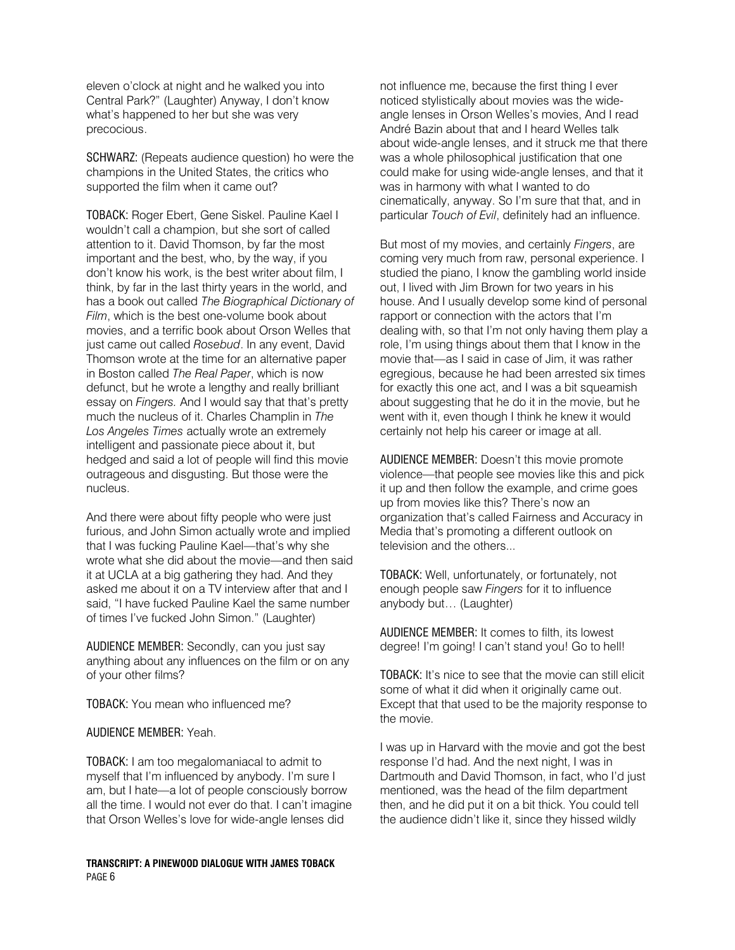eleven o'clock at night and he walked you into Central Park?" (Laughter) Anyway, I don't know what's happened to her but she was very precocious.

SCHWARZ: (Repeats audience question) ho were the champions in the United States, the critics who supported the film when it came out?

TOBACK: Roger Ebert, Gene Siskel. Pauline Kael I wouldn't call a champion, but she sort of called attention to it. David Thomson, by far the most important and the best, who, by the way, if you don't know his work, is the best writer about film, I think, by far in the last thirty years in the world, and has a book out called The Biographical Dictionary of Film, which is the best one-volume book about movies, and a terrific book about Orson Welles that just came out called Rosebud. In any event, David Thomson wrote at the time for an alternative paper in Boston called The Real Paper, which is now defunct, but he wrote a lengthy and really brilliant essay on Fingers. And I would say that that's pretty much the nucleus of it. Charles Champlin in The Los Angeles Times actually wrote an extremely intelligent and passionate piece about it, but hedged and said a lot of people will find this movie outrageous and disgusting. But those were the nucleus.

And there were about fifty people who were just furious, and John Simon actually wrote and implied that I was fucking Pauline Kael—that's why she wrote what she did about the movie—and then said it at UCLA at a big gathering they had. And they asked me about it on a TV interview after that and I said, "I have fucked Pauline Kael the same number of times I've fucked John Simon." (Laughter)

AUDIENCE MEMBER: Secondly, can you just say anything about any influences on the film or on any of your other films?

TOBACK: You mean who influenced me?

AUDIENCE MEMBER: Yeah.

TOBACK: I am too megalomaniacal to admit to myself that I'm influenced by anybody. I'm sure I am, but I hate—a lot of people consciously borrow all the time. I would not ever do that. I can't imagine that Orson Welles's love for wide-angle lenses did

TRANSCRIPT: A PINEWOOD DIALOGUE WITH JAMES TOBACK PAGE 6

not influence me, because the first thing I ever noticed stylistically about movies was the wideangle lenses in Orson Welles's movies, And I read André Bazin about that and I heard Welles talk about wide-angle lenses, and it struck me that there was a whole philosophical justification that one could make for using wide-angle lenses, and that it was in harmony with what I wanted to do cinematically, anyway. So I'm sure that that, and in particular Touch of Evil, definitely had an influence.

But most of my movies, and certainly Fingers, are coming very much from raw, personal experience. I studied the piano, I know the gambling world inside out, I lived with Jim Brown for two years in his house. And I usually develop some kind of personal rapport or connection with the actors that I'm dealing with, so that I'm not only having them play a role, I'm using things about them that I know in the movie that—as I said in case of Jim, it was rather egregious, because he had been arrested six times for exactly this one act, and I was a bit squeamish about suggesting that he do it in the movie, but he went with it, even though I think he knew it would certainly not help his career or image at all.

AUDIENCE MEMBER: Doesn't this movie promote violence—that people see movies like this and pick it up and then follow the example, and crime goes up from movies like this? There's now an organization that's called Fairness and Accuracy in Media that's promoting a different outlook on television and the others...

TOBACK: Well, unfortunately, or fortunately, not enough people saw Fingers for it to influence anybody but… (Laughter)

AUDIENCE MEMBER: It comes to filth, its lowest degree! I'm going! I can't stand you! Go to hell!

TOBACK: It's nice to see that the movie can still elicit some of what it did when it originally came out. Except that that used to be the majority response to the movie.

I was up in Harvard with the movie and got the best response I'd had. And the next night, I was in Dartmouth and David Thomson, in fact, who I'd just mentioned, was the head of the film department then, and he did put it on a bit thick. You could tell the audience didn't like it, since they hissed wildly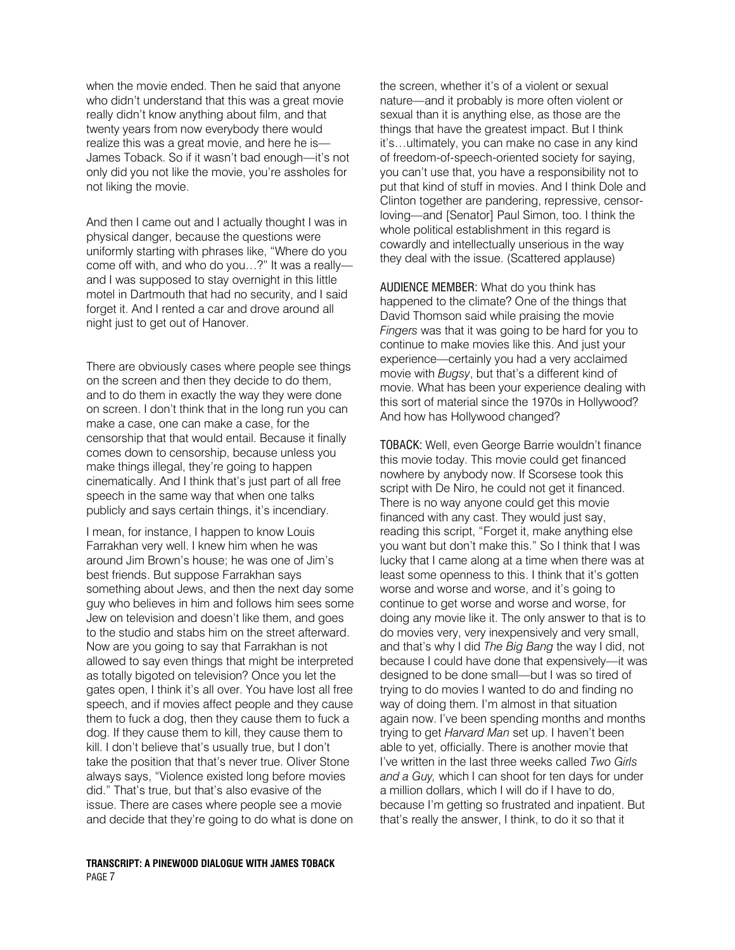when the movie ended. Then he said that anyone who didn't understand that this was a great movie really didn't know anything about film, and that twenty years from now everybody there would realize this was a great movie, and here he is— James Toback. So if it wasn't bad enough—it's not only did you not like the movie, you're assholes for not liking the movie.

And then I came out and I actually thought I was in physical danger, because the questions were uniformly starting with phrases like, "Where do you come off with, and who do you…?" It was a really and I was supposed to stay overnight in this little motel in Dartmouth that had no security, and I said forget it. And I rented a car and drove around all night just to get out of Hanover.

There are obviously cases where people see things on the screen and then they decide to do them, and to do them in exactly the way they were done on screen. I don't think that in the long run you can make a case, one can make a case, for the censorship that that would entail. Because it finally comes down to censorship, because unless you make things illegal, they're going to happen cinematically. And I think that's just part of all free speech in the same way that when one talks publicly and says certain things, it's incendiary.

I mean, for instance, I happen to know Louis Farrakhan very well. I knew him when he was around Jim Brown's house; he was one of Jim's best friends. But suppose Farrakhan says something about Jews, and then the next day some guy who believes in him and follows him sees some Jew on television and doesn't like them, and goes to the studio and stabs him on the street afterward. Now are you going to say that Farrakhan is not allowed to say even things that might be interpreted as totally bigoted on television? Once you let the gates open, I think it's all over. You have lost all free speech, and if movies affect people and they cause them to fuck a dog, then they cause them to fuck a dog. If they cause them to kill, they cause them to kill. I don't believe that's usually true, but I don't take the position that that's never true. Oliver Stone always says, "Violence existed long before movies did." That's true, but that's also evasive of the issue. There are cases where people see a movie and decide that they're going to do what is done on

TRANSCRIPT: A PINEWOOD DIALOGUE WITH JAMES TOBACK PAGE 7

the screen, whether it's of a violent or sexual nature—and it probably is more often violent or sexual than it is anything else, as those are the things that have the greatest impact. But I think it's…ultimately, you can make no case in any kind of freedom-of-speech-oriented society for saying, you can't use that, you have a responsibility not to put that kind of stuff in movies. And I think Dole and Clinton together are pandering, repressive, censorloving—and [Senator] Paul Simon, too. I think the whole political establishment in this regard is cowardly and intellectually unserious in the way they deal with the issue. (Scattered applause)

AUDIENCE MEMBER: What do you think has happened to the climate? One of the things that David Thomson said while praising the movie Fingers was that it was going to be hard for you to continue to make movies like this. And just your experience—certainly you had a very acclaimed movie with Bugsy, but that's a different kind of movie. What has been your experience dealing with this sort of material since the 1970s in Hollywood? And how has Hollywood changed?

TOBACK: Well, even George Barrie wouldn't finance this movie today. This movie could get financed nowhere by anybody now. If Scorsese took this script with De Niro, he could not get it financed. There is no way anyone could get this movie financed with any cast. They would just say, reading this script, "Forget it, make anything else you want but don't make this." So I think that I was lucky that I came along at a time when there was at least some openness to this. I think that it's gotten worse and worse and worse, and it's going to continue to get worse and worse and worse, for doing any movie like it. The only answer to that is to do movies very, very inexpensively and very small, and that's why I did The Big Bang the way I did, not because I could have done that expensively—it was designed to be done small—but I was so tired of trying to do movies I wanted to do and finding no way of doing them. I'm almost in that situation again now. I've been spending months and months trying to get Harvard Man set up. I haven't been able to yet, officially. There is another movie that I've written in the last three weeks called Two Girls and a Guy, which I can shoot for ten days for under a million dollars, which I will do if I have to do, because I'm getting so frustrated and inpatient. But that's really the answer, I think, to do it so that it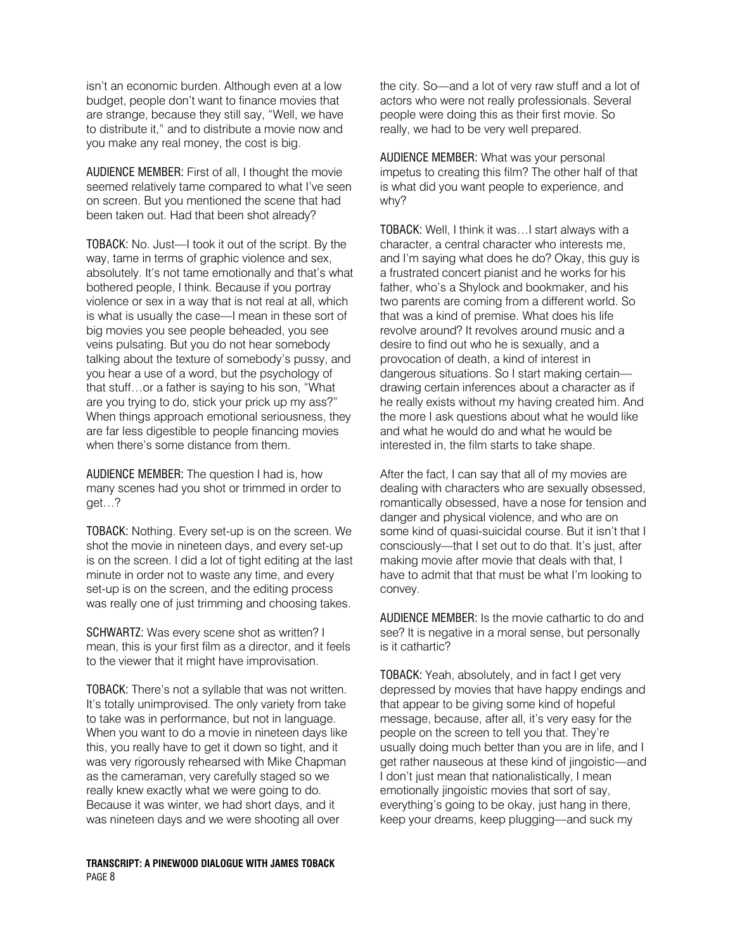isn't an economic burden. Although even at a low budget, people don't want to finance movies that are strange, because they still say, "Well, we have to distribute it," and to distribute a movie now and you make any real money, the cost is big.

AUDIENCE MEMBER: First of all, I thought the movie seemed relatively tame compared to what I've seen on screen. But you mentioned the scene that had been taken out. Had that been shot already?

TOBACK: No. Just—I took it out of the script. By the way, tame in terms of graphic violence and sex, absolutely. It's not tame emotionally and that's what bothered people, I think. Because if you portray violence or sex in a way that is not real at all, which is what is usually the case—I mean in these sort of big movies you see people beheaded, you see veins pulsating. But you do not hear somebody talking about the texture of somebody's pussy, and you hear a use of a word, but the psychology of that stuff…or a father is saying to his son, "What are you trying to do, stick your prick up my ass?" When things approach emotional seriousness, they are far less digestible to people financing movies when there's some distance from them.

AUDIENCE MEMBER: The question I had is, how many scenes had you shot or trimmed in order to get…?

TOBACK: Nothing. Every set-up is on the screen. We shot the movie in nineteen days, and every set-up is on the screen. I did a lot of tight editing at the last minute in order not to waste any time, and every set-up is on the screen, and the editing process was really one of just trimming and choosing takes.

SCHWARTZ: Was every scene shot as written? I mean, this is your first film as a director, and it feels to the viewer that it might have improvisation.

TOBACK: There's not a syllable that was not written. It's totally unimprovised. The only variety from take to take was in performance, but not in language. When you want to do a movie in nineteen days like this, you really have to get it down so tight, and it was very rigorously rehearsed with Mike Chapman as the cameraman, very carefully staged so we really knew exactly what we were going to do. Because it was winter, we had short days, and it was nineteen days and we were shooting all over

TRANSCRIPT: A PINEWOOD DIALOGUE WITH JAMES TOBACK PAGE 8

the city. So—and a lot of very raw stuff and a lot of actors who were not really professionals. Several people were doing this as their first movie. So really, we had to be very well prepared.

AUDIENCE MEMBER: What was your personal impetus to creating this film? The other half of that is what did you want people to experience, and why?

TOBACK: Well, I think it was…I start always with a character, a central character who interests me, and I'm saying what does he do? Okay, this guy is a frustrated concert pianist and he works for his father, who's a Shylock and bookmaker, and his two parents are coming from a different world. So that was a kind of premise. What does his life revolve around? It revolves around music and a desire to find out who he is sexually, and a provocation of death, a kind of interest in dangerous situations. So I start making certain drawing certain inferences about a character as if he really exists without my having created him. And the more I ask questions about what he would like and what he would do and what he would be interested in, the film starts to take shape.

After the fact, I can say that all of my movies are dealing with characters who are sexually obsessed, romantically obsessed, have a nose for tension and danger and physical violence, and who are on some kind of quasi-suicidal course. But it isn't that I consciously—that I set out to do that. It's just, after making movie after movie that deals with that, I have to admit that that must be what I'm looking to convey.

AUDIENCE MEMBER: Is the movie cathartic to do and see? It is negative in a moral sense, but personally is it cathartic?

TOBACK: Yeah, absolutely, and in fact I get very depressed by movies that have happy endings and that appear to be giving some kind of hopeful message, because, after all, it's very easy for the people on the screen to tell you that. They're usually doing much better than you are in life, and I get rather nauseous at these kind of jingoistic—and I don't just mean that nationalistically, I mean emotionally jingoistic movies that sort of say, everything's going to be okay, just hang in there, keep your dreams, keep plugging—and suck my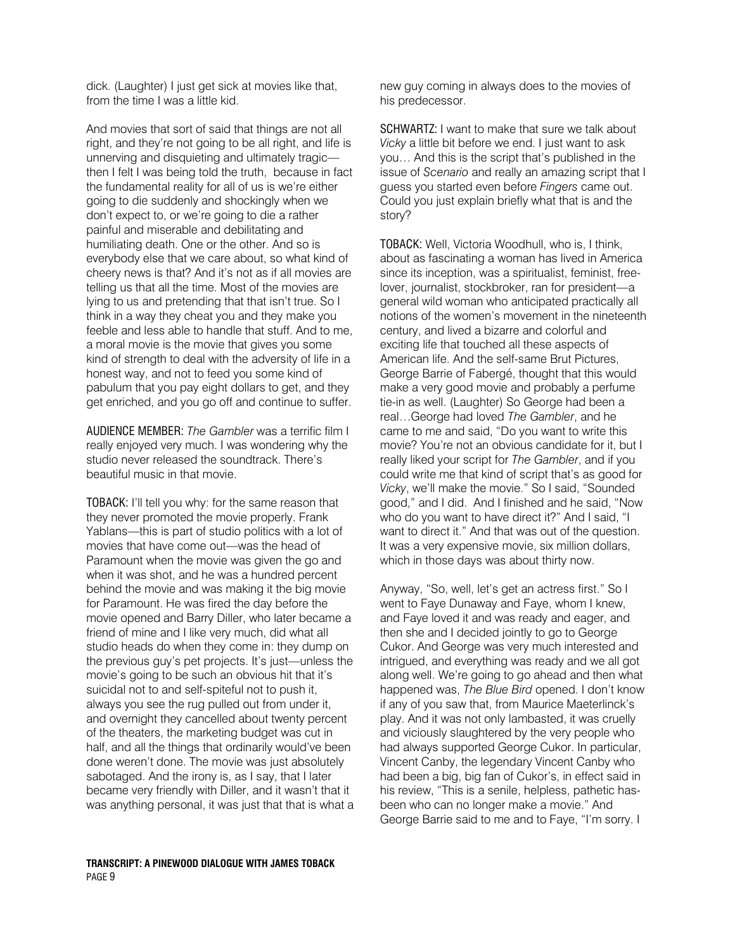dick. (Laughter) I just get sick at movies like that, from the time I was a little kid.

And movies that sort of said that things are not all right, and they're not going to be all right, and life is unnerving and disquieting and ultimately tragic then I felt I was being told the truth, because in fact the fundamental reality for all of us is we're either going to die suddenly and shockingly when we don't expect to, or we're going to die a rather painful and miserable and debilitating and humiliating death. One or the other. And so is everybody else that we care about, so what kind of cheery news is that? And it's not as if all movies are telling us that all the time. Most of the movies are lying to us and pretending that that isn't true. So I think in a way they cheat you and they make you feeble and less able to handle that stuff. And to me, a moral movie is the movie that gives you some kind of strength to deal with the adversity of life in a honest way, and not to feed you some kind of pabulum that you pay eight dollars to get, and they get enriched, and you go off and continue to suffer.

AUDIENCE MEMBER: The Gambler was a terrific film I really enjoyed very much. I was wondering why the studio never released the soundtrack. There's beautiful music in that movie.

TOBACK: I'll tell you why: for the same reason that they never promoted the movie properly. Frank Yablans—this is part of studio politics with a lot of movies that have come out—was the head of Paramount when the movie was given the go and when it was shot, and he was a hundred percent behind the movie and was making it the big movie for Paramount. He was fired the day before the movie opened and Barry Diller, who later became a friend of mine and I like very much, did what all studio heads do when they come in: they dump on the previous guy's pet projects. It's just—unless the movie's going to be such an obvious hit that it's suicidal not to and self-spiteful not to push it, always you see the rug pulled out from under it, and overnight they cancelled about twenty percent of the theaters, the marketing budget was cut in half, and all the things that ordinarily would've been done weren't done. The movie was just absolutely sabotaged. And the irony is, as I say, that I later became very friendly with Diller, and it wasn't that it was anything personal, it was just that that is what a new guy coming in always does to the movies of his predecessor.

SCHWARTZ: I want to make that sure we talk about Vicky a little bit before we end. I just want to ask you… And this is the script that's published in the issue of Scenario and really an amazing script that I guess you started even before Fingers came out. Could you just explain briefly what that is and the story?

TOBACK: Well, Victoria Woodhull, who is, I think, about as fascinating a woman has lived in America since its inception, was a spiritualist, feminist, freelover, journalist, stockbroker, ran for president—a general wild woman who anticipated practically all notions of the women's movement in the nineteenth century, and lived a bizarre and colorful and exciting life that touched all these aspects of American life. And the self-same Brut Pictures, George Barrie of Fabergé, thought that this would make a very good movie and probably a perfume tie-in as well. (Laughter) So George had been a real…George had loved The Gambler, and he came to me and said, "Do you want to write this movie? You're not an obvious candidate for it, but I really liked your script for The Gambler, and if you could write me that kind of script that's as good for Vicky, we'll make the movie." So I said, "Sounded good," and I did. And I finished and he said, "Now who do you want to have direct it?" And I said, "I want to direct it." And that was out of the question. It was a very expensive movie, six million dollars, which in those days was about thirty now.

Anyway, "So, well, let's get an actress first." So I went to Faye Dunaway and Faye, whom I knew, and Faye loved it and was ready and eager, and then she and I decided jointly to go to George Cukor. And George was very much interested and intrigued, and everything was ready and we all got along well. We're going to go ahead and then what happened was, The Blue Bird opened. I don't know if any of you saw that, from Maurice Maeterlinck's play. And it was not only lambasted, it was cruelly and viciously slaughtered by the very people who had always supported George Cukor. In particular, Vincent Canby, the legendary Vincent Canby who had been a big, big fan of Cukor's, in effect said in his review, "This is a senile, helpless, pathetic hasbeen who can no longer make a movie." And George Barrie said to me and to Faye, "I'm sorry. I